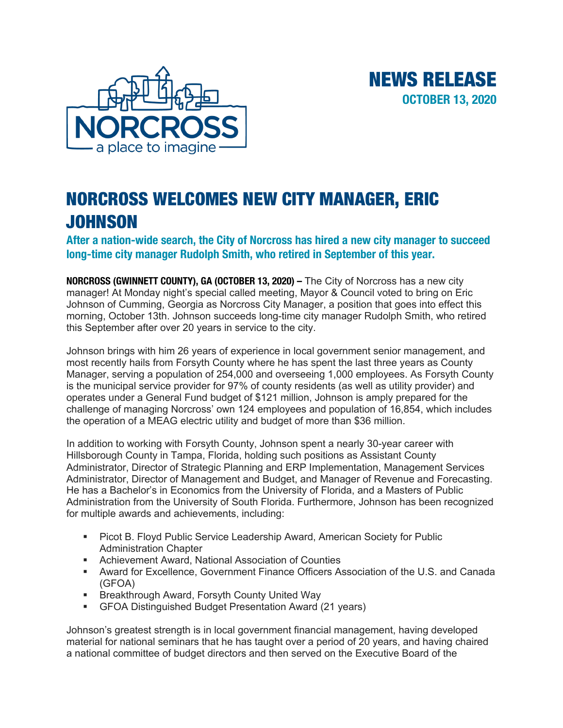

## NORCROSS WELCOMES NEW CITY MANAGER, ERIC JOHNSON

**After a nation-wide search, the City of Norcross has hired a new city manager to succeed long-time city manager Rudolph Smith, who retired in September of this year.**

NEWS RELEASE

**OCTOBER 13, 2020**

**NORCROSS (GWINNETT COUNTY), GA (OCTOBER 13, 2020) –** The City of Norcross has a new city manager! At Monday night's special called meeting, Mayor & Council voted to bring on Eric Johnson of Cumming, Georgia as Norcross City Manager, a position that goes into effect this morning, October 13th. Johnson succeeds long-time city manager Rudolph Smith, who retired this September after over 20 years in service to the city.

Johnson brings with him 26 years of experience in local government senior management, and most recently hails from Forsyth County where he has spent the last three years as County Manager, serving a population of 254,000 and overseeing 1,000 employees. As Forsyth County is the municipal service provider for 97% of county residents (as well as utility provider) and operates under a General Fund budget of \$121 million, Johnson is amply prepared for the challenge of managing Norcross' own 124 employees and population of 16,854, which includes the operation of a MEAG electric utility and budget of more than \$36 million.

In addition to working with Forsyth County, Johnson spent a nearly 30-year career with Hillsborough County in Tampa, Florida, holding such positions as Assistant County Administrator, Director of Strategic Planning and ERP Implementation, Management Services Administrator, Director of Management and Budget, and Manager of Revenue and Forecasting. He has a Bachelor's in Economics from the University of Florida, and a Masters of Public Administration from the University of South Florida. Furthermore, Johnson has been recognized for multiple awards and achievements, including:

- Picot B. Floyd Public Service Leadership Award, American Society for Public Administration Chapter
- Achievement Award, National Association of Counties
- § Award for Excellence, Government Finance Officers Association of the U.S. and Canada (GFOA)
- Breakthrough Award, Forsyth County United Way
- GFOA Distinguished Budget Presentation Award (21 years)

Johnson's greatest strength is in local government financial management, having developed material for national seminars that he has taught over a period of 20 years, and having chaired a national committee of budget directors and then served on the Executive Board of the